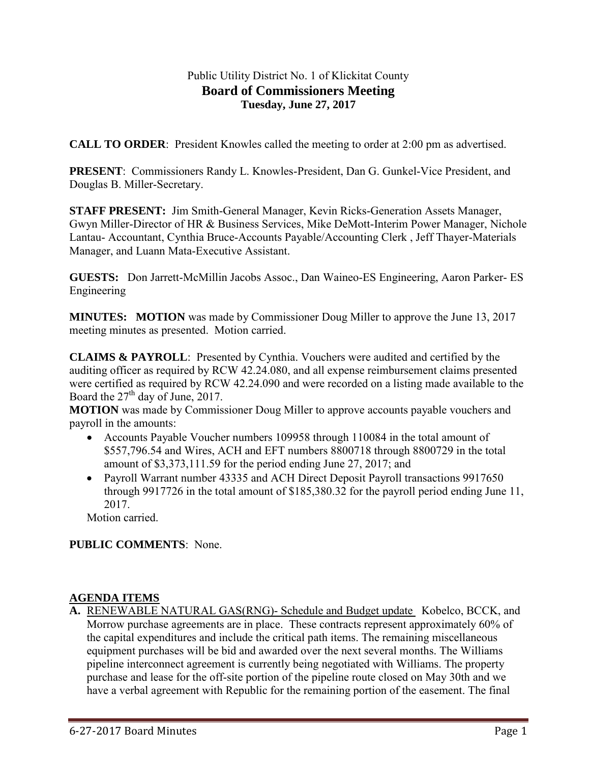# Public Utility District No. 1 of Klickitat County **Board of Commissioners Meeting Tuesday, June 27, 2017**

**CALL TO ORDER:** President Knowles called the meeting to order at 2:00 pm as advertised.

**PRESENT**: Commissioners Randy L. Knowles-President, Dan G. Gunkel-Vice President, and Douglas B. Miller-Secretary.

**STAFF PRESENT:** Jim Smith-General Manager, Kevin Ricks-Generation Assets Manager, Gwyn Miller-Director of HR & Business Services, Mike DeMott-Interim Power Manager, Nichole Lantau- Accountant, Cynthia Bruce-Accounts Payable/Accounting Clerk , Jeff Thayer-Materials Manager, and Luann Mata-Executive Assistant.

**GUESTS:** Don Jarrett-McMillin Jacobs Assoc., Dan Waineo-ES Engineering, Aaron Parker- ES Engineering

**MINUTES:** MOTION was made by Commissioner Doug Miller to approve the June 13, 2017 meeting minutes as presented. Motion carried.

**CLAIMS & PAYROLL**: Presented by Cynthia. Vouchers were audited and certified by the auditing officer as required by RCW 42.24.080, and all expense reimbursement claims presented were certified as required by RCW 42.24.090 and were recorded on a listing made available to the Board the  $27<sup>th</sup>$  day of June, 2017.

**MOTION** was made by Commissioner Doug Miller to approve accounts payable vouchers and payroll in the amounts:

- Accounts Payable Voucher numbers 109958 through 110084 in the total amount of \$557,796.54 and Wires, ACH and EFT numbers 8800718 through 8800729 in the total amount of \$3,373,111.59 for the period ending June 27, 2017; and
- Payroll Warrant number 43335 and ACH Direct Deposit Payroll transactions 9917650 through 9917726 in the total amount of \$185,380.32 for the payroll period ending June 11, 2017.

Motion carried.

# **PUBLIC COMMENTS**: None.

### **AGENDA ITEMS**

**A.** RENEWABLE NATURAL GAS(RNG)- Schedule and Budget update Kobelco, BCCK, and Morrow purchase agreements are in place. These contracts represent approximately 60% of the capital expenditures and include the critical path items. The remaining miscellaneous equipment purchases will be bid and awarded over the next several months. The Williams pipeline interconnect agreement is currently being negotiated with Williams. The property purchase and lease for the off-site portion of the pipeline route closed on May 30th and we have a verbal agreement with Republic for the remaining portion of the easement. The final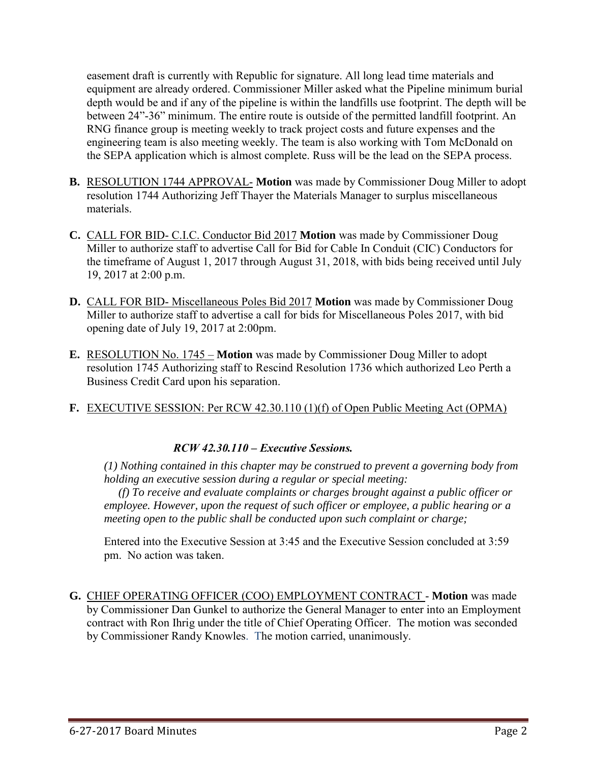easement draft is currently with Republic for signature. All long lead time materials and equipment are already ordered. Commissioner Miller asked what the Pipeline minimum burial depth would be and if any of the pipeline is within the landfills use footprint. The depth will be between 24"-36" minimum. The entire route is outside of the permitted landfill footprint. An RNG finance group is meeting weekly to track project costs and future expenses and the engineering team is also meeting weekly. The team is also working with Tom McDonald on the SEPA application which is almost complete. Russ will be the lead on the SEPA process.

- **B.** RESOLUTION 1744 APPROVAL- **Motion** was made by Commissioner Doug Miller to adopt resolution 1744 Authorizing Jeff Thayer the Materials Manager to surplus miscellaneous materials.
- **C.** CALL FOR BID- C.I.C. Conductor Bid 2017 **Motion** was made by Commissioner Doug Miller to authorize staff to advertise Call for Bid for Cable In Conduit (CIC) Conductors for the timeframe of August 1, 2017 through August 31, 2018, with bids being received until July 19, 2017 at 2:00 p.m.
- **D.** CALL FOR BID- Miscellaneous Poles Bid 2017 **Motion** was made by Commissioner Doug Miller to authorize staff to advertise a call for bids for Miscellaneous Poles 2017, with bid opening date of July 19, 2017 at 2:00pm.
- **E.** RESOLUTION No. 1745 **Motion** was made by Commissioner Doug Miller to adopt resolution 1745 Authorizing staff to Rescind Resolution 1736 which authorized Leo Perth a Business Credit Card upon his separation.
- **F.** EXECUTIVE SESSION: Per RCW 42.30.110 (1)(f) of Open Public Meeting Act (OPMA)

# *RCW 42.30.110 – Executive Sessions.*

*(1) Nothing contained in this chapter may be construed to prevent a governing body from holding an executive session during a regular or special meeting:* 

 *(f) To receive and evaluate complaints or charges brought against a public officer or employee. However, upon the request of such officer or employee, a public hearing or a meeting open to the public shall be conducted upon such complaint or charge;* 

Entered into the Executive Session at 3:45 and the Executive Session concluded at 3:59 pm. No action was taken.

**G.** CHIEF OPERATING OFFICER (COO) EMPLOYMENT CONTRACT - **Motion** was made by Commissioner Dan Gunkel to authorize the General Manager to enter into an Employment contract with Ron Ihrig under the title of Chief Operating Officer. The motion was seconded by Commissioner Randy Knowles. The motion carried, unanimously.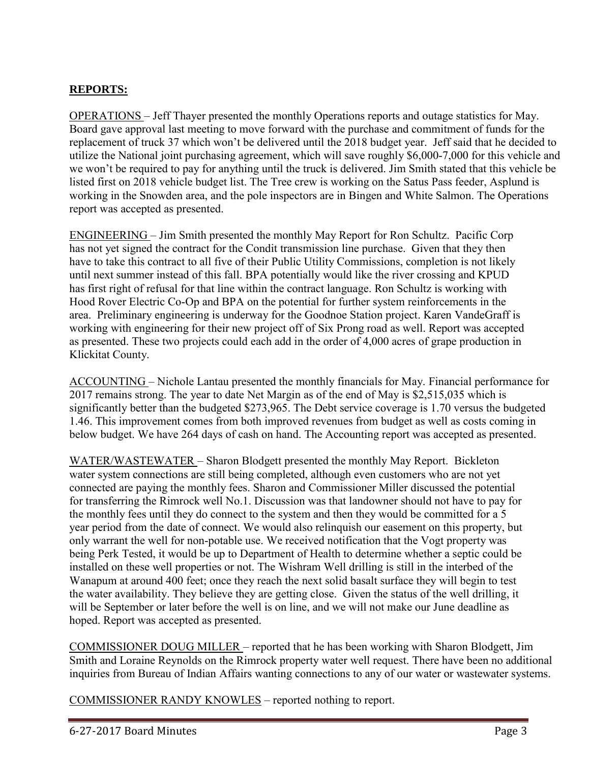# **REPORTS:**

OPERATIONS – Jeff Thayer presented the monthly Operations reports and outage statistics for May. Board gave approval last meeting to move forward with the purchase and commitment of funds for the replacement of truck 37 which won't be delivered until the 2018 budget year. Jeff said that he decided to utilize the National joint purchasing agreement, which will save roughly \$6,000-7,000 for this vehicle and we won't be required to pay for anything until the truck is delivered. Jim Smith stated that this vehicle be listed first on 2018 vehicle budget list. The Tree crew is working on the Satus Pass feeder, Asplund is working in the Snowden area, and the pole inspectors are in Bingen and White Salmon. The Operations report was accepted as presented.

ENGINEERING – Jim Smith presented the monthly May Report for Ron Schultz. Pacific Corp has not yet signed the contract for the Condit transmission line purchase. Given that they then have to take this contract to all five of their Public Utility Commissions, completion is not likely until next summer instead of this fall. BPA potentially would like the river crossing and KPUD has first right of refusal for that line within the contract language. Ron Schultz is working with Hood Rover Electric Co-Op and BPA on the potential for further system reinforcements in the area. Preliminary engineering is underway for the Goodnoe Station project. Karen VandeGraff is working with engineering for their new project off of Six Prong road as well. Report was accepted as presented. These two projects could each add in the order of 4,000 acres of grape production in Klickitat County.

ACCOUNTING – Nichole Lantau presented the monthly financials for May. Financial performance for 2017 remains strong. The year to date Net Margin as of the end of May is \$2,515,035 which is significantly better than the budgeted \$273,965. The Debt service coverage is 1.70 versus the budgeted 1.46. This improvement comes from both improved revenues from budget as well as costs coming in below budget. We have 264 days of cash on hand. The Accounting report was accepted as presented.

WATER/WASTEWATER – Sharon Blodgett presented the monthly May Report. Bickleton water system connections are still being completed, although even customers who are not yet connected are paying the monthly fees. Sharon and Commissioner Miller discussed the potential for transferring the Rimrock well No.1. Discussion was that landowner should not have to pay for the monthly fees until they do connect to the system and then they would be committed for a 5 year period from the date of connect. We would also relinquish our easement on this property, but only warrant the well for non-potable use. We received notification that the Vogt property was being Perk Tested, it would be up to Department of Health to determine whether a septic could be installed on these well properties or not. The Wishram Well drilling is still in the interbed of the Wanapum at around 400 feet; once they reach the next solid basalt surface they will begin to test the water availability. They believe they are getting close. Given the status of the well drilling, it will be September or later before the well is on line, and we will not make our June deadline as hoped. Report was accepted as presented.

COMMISSIONER DOUG MILLER – reported that he has been working with Sharon Blodgett, Jim Smith and Loraine Reynolds on the Rimrock property water well request. There have been no additional inquiries from Bureau of Indian Affairs wanting connections to any of our water or wastewater systems.

COMMISSIONER RANDY KNOWLES – reported nothing to report.